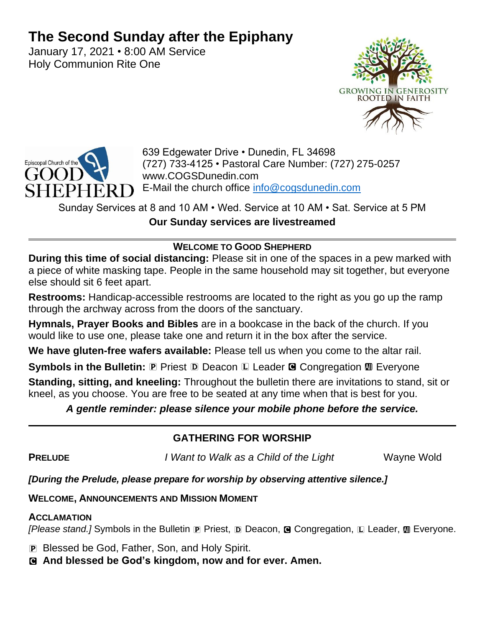# **The Second Sunday after the Epiphany**

January 17, 2021 • 8:00 AM Service Holy Communion Rite One





639 Edgewater Drive • Dunedin, FL 34698 (727) 733-4125 • Pastoral Care Number: (727) 275-0257 www.COGSDunedin.com E-Mail the church office [info@cogsdunedin.com](mailto:info@cogsdunedin.com)

Sunday Services at 8 and 10 AM • Wed. Service at 10 AM • Sat. Service at 5 PM **Our Sunday services are livestreamed**

#### **WELCOME TO GOOD SHEPHERD**

**During this time of social distancing:** Please sit in one of the spaces in a pew marked with a piece of white masking tape. People in the same household may sit together, but everyone else should sit 6 feet apart.

**Restrooms:** Handicap-accessible restrooms are located to the right as you go up the ramp through the archway across from the doors of the sanctuary.

**Hymnals, Prayer Books and Bibles** are in a bookcase in the back of the church. If you would like to use one, please take one and return it in the box after the service.

**We have gluten-free wafers available:** Please tell us when you come to the altar rail.

**Symbols in the Bulletin: P** Priest **D** Deacon **L** Leader **G** Congregation **M** Everyone

**Standing, sitting, and kneeling:** Throughout the bulletin there are invitations to stand, sit or kneel, as you choose. You are free to be seated at any time when that is best for you.

# *A gentle reminder: please silence your mobile phone before the service.*

# **GATHERING FOR WORSHIP**

**PRELUDE** *I Want to Walk as a Child of the Light* Wayne Wold

*[During the Prelude, please prepare for worship by observing attentive silence.]*

#### **WELCOME, ANNOUNCEMENTS AND MISSION MOMENT**

#### **ACCLAMATION**

*[Please stand.]* Symbols in the Bulletin **P** Priest, **D** Deacon, **G** Congregation, **L** Leader, **M** Everyone.

P Blessed be God, Father, Son, and Holy Spirit.

C **And blessed be God's kingdom, now and for ever. Amen.**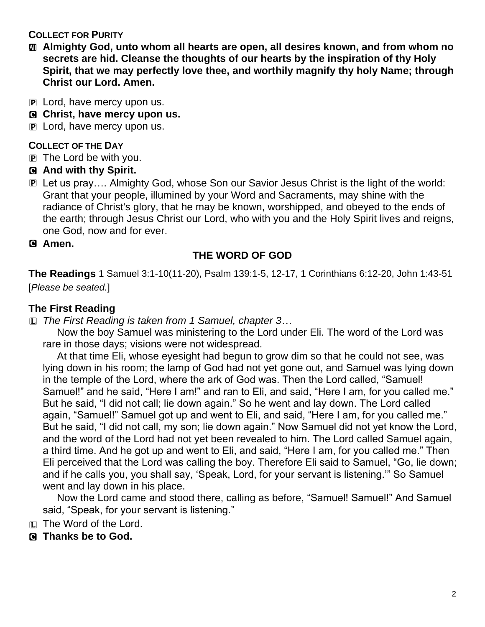#### **COLLECT FOR PURITY**

- a **Almighty God, unto whom all hearts are open, all desires known, and from whom no secrets are hid. Cleanse the thoughts of our hearts by the inspiration of thy Holy Spirit, that we may perfectly love thee, and worthily magnify thy holy Name; through Christ our Lord. Amen.**
- P Lord, have mercy upon us.
- C **Christ, have mercy upon us.**
- P Lord, have mercy upon us.

#### **COLLECT OF THE DAY**

- P The Lord be with you.
- C **And with thy Spirit.**
- P Let us pray…. Almighty God, whose Son our Savior Jesus Christ is the light of the world: Grant that your people, illumined by your Word and Sacraments, may shine with the radiance of Christ's glory, that he may be known, worshipped, and obeyed to the ends of the earth; through Jesus Christ our Lord, who with you and the Holy Spirit lives and reigns, one God, now and for ever.

#### C **Amen.**

#### **THE WORD OF GOD**

**The Readings** 1 Samuel 3:1-10(11-20), Psalm 139:1-5, 12-17, 1 Corinthians 6:12-20, John 1:43-51 [*Please be seated.*]

#### **The First Reading**

L *The First Reading is taken from 1 Samuel, chapter 3…*

Now the boy Samuel was ministering to the Lord under Eli. The word of the Lord was rare in those days; visions were not widespread.

At that time Eli, whose eyesight had begun to grow dim so that he could not see, was lying down in his room; the lamp of God had not yet gone out, and Samuel was lying down in the temple of the Lord, where the ark of God was. Then the Lord called, "Samuel! Samuel!" and he said, "Here I am!" and ran to Eli, and said, "Here I am, for you called me." But he said, "I did not call; lie down again." So he went and lay down. The Lord called again, "Samuel!" Samuel got up and went to Eli, and said, "Here I am, for you called me." But he said, "I did not call, my son; lie down again." Now Samuel did not yet know the Lord, and the word of the Lord had not yet been revealed to him. The Lord called Samuel again, a third time. And he got up and went to Eli, and said, "Here I am, for you called me." Then Eli perceived that the Lord was calling the boy. Therefore Eli said to Samuel, "Go, lie down; and if he calls you, you shall say, 'Speak, Lord, for your servant is listening.'" So Samuel went and lay down in his place.

Now the Lord came and stood there, calling as before, "Samuel! Samuel!" And Samuel said, "Speak, for your servant is listening."

- L The Word of the Lord.
- C **Thanks be to God.**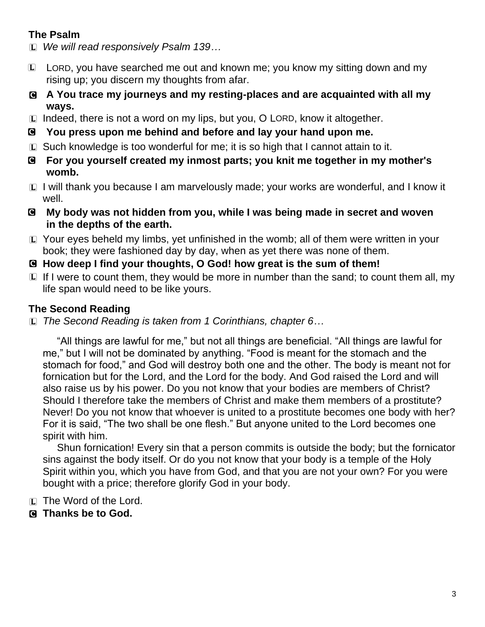#### **The Psalm**

L *We will read responsively Psalm 139…*

- $\Box$  LORD, you have searched me out and known me; you know my sitting down and my rising up; you discern my thoughts from afar.
- C **A You trace my journeys and my resting-places and are acquainted with all my ways.**
- $\Box$  Indeed, there is not a word on my lips, but you, O LORD, know it altogether.
- C **You press upon me behind and before and lay your hand upon me.**
- L Such knowledge is too wonderful for me; it is so high that I cannot attain to it.
- C **For you yourself created my inmost parts; you knit me together in my mother's womb.**
- L I will thank you because I am marvelously made; your works are wonderful, and I know it well.
- C **My body was not hidden from you, while I was being made in secret and woven in the depths of the earth.**
- L Your eyes beheld my limbs, yet unfinished in the womb; all of them were written in your book; they were fashioned day by day, when as yet there was none of them.

#### C **How deep I find your thoughts, O God! how great is the sum of them!**

L If I were to count them, they would be more in number than the sand; to count them all, my life span would need to be like yours.

# **The Second Reading**

L *The Second Reading is taken from 1 Corinthians, chapter 6…*

"All things are lawful for me," but not all things are beneficial. "All things are lawful for me," but I will not be dominated by anything. "Food is meant for the stomach and the stomach for food," and God will destroy both one and the other. The body is meant not for fornication but for the Lord, and the Lord for the body. And God raised the Lord and will also raise us by his power. Do you not know that your bodies are members of Christ? Should I therefore take the members of Christ and make them members of a prostitute? Never! Do you not know that whoever is united to a prostitute becomes one body with her? For it is said, "The two shall be one flesh." But anyone united to the Lord becomes one spirit with him.

Shun fornication! Every sin that a person commits is outside the body; but the fornicator sins against the body itself. Or do you not know that your body is a temple of the Holy Spirit within you, which you have from God, and that you are not your own? For you were bought with a price; therefore glorify God in your body.

- L The Word of the Lord.
- C **Thanks be to God.**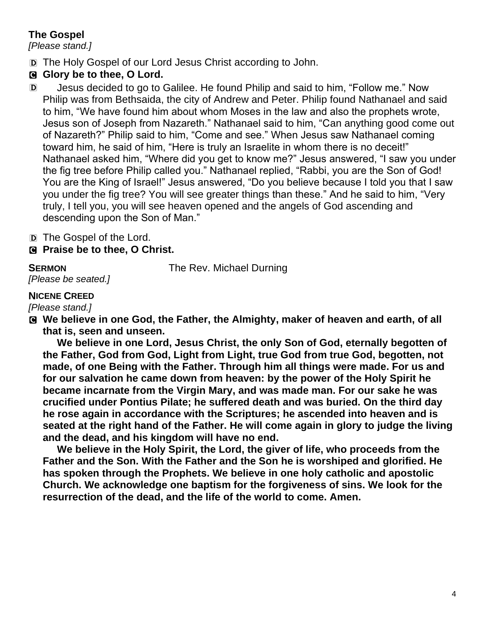# **The Gospel**

*[Please stand.]*

- D The Holy Gospel of our Lord Jesus Christ according to John.
- G Glory be to thee, O Lord.
- D Jesus decided to go to Galilee. He found Philip and said to him, "Follow me." Now Philip was from Bethsaida, the city of Andrew and Peter. Philip found Nathanael and said to him, "We have found him about whom Moses in the law and also the prophets wrote, Jesus son of Joseph from Nazareth." Nathanael said to him, "Can anything good come out of Nazareth?" Philip said to him, "Come and see." When Jesus saw Nathanael coming toward him, he said of him, "Here is truly an Israelite in whom there is no deceit!" Nathanael asked him, "Where did you get to know me?" Jesus answered, "I saw you under the fig tree before Philip called you." Nathanael replied, "Rabbi, you are the Son of God! You are the King of Israel!" Jesus answered, "Do you believe because I told you that I saw you under the fig tree? You will see greater things than these." And he said to him, "Very truly, I tell you, you will see heaven opened and the angels of God ascending and descending upon the Son of Man."
- D The Gospel of the Lord.
- C **Praise be to thee, O Christ.**

# *[Please be seated.]*

**SERMON** The Rev. Michael Durning

#### **NICENE CREED**

*[Please stand.]*

- C **We believe in one God, the Father, the Almighty, maker of heaven and earth, of all that is, seen and unseen.** 
	- **We believe in one Lord, Jesus Christ, the only Son of God, eternally begotten of the Father, God from God, Light from Light, true God from true God, begotten, not made, of one Being with the Father. Through him all things were made. For us and for our salvation he came down from heaven: by the power of the Holy Spirit he became incarnate from the Virgin Mary, and was made man. For our sake he was crucified under Pontius Pilate; he suffered death and was buried. On the third day he rose again in accordance with the Scriptures; he ascended into heaven and is seated at the right hand of the Father. He will come again in glory to judge the living and the dead, and his kingdom will have no end.**

**We believe in the Holy Spirit, the Lord, the giver of life, who proceeds from the Father and the Son. With the Father and the Son he is worshiped and glorified. He has spoken through the Prophets. We believe in one holy catholic and apostolic Church. We acknowledge one baptism for the forgiveness of sins. We look for the resurrection of the dead, and the life of the world to come. Amen.**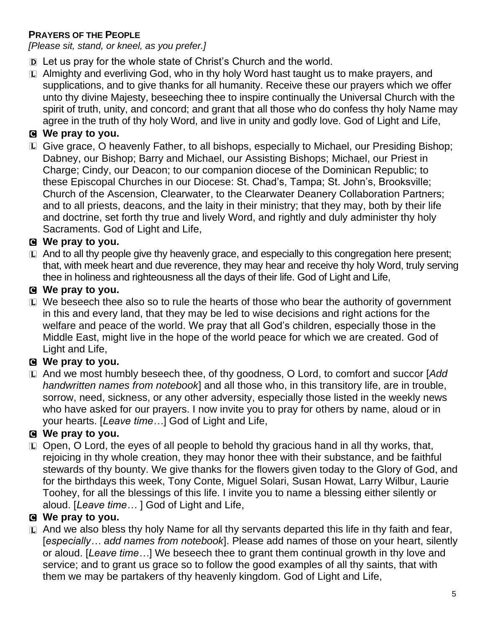#### **PRAYERS OF THE PEOPLE**

*[Please sit, stand, or kneel, as you prefer.]*

- D Let us pray for the whole state of Christ's Church and the world.
- L Almighty and everliving God, who in thy holy Word hast taught us to make prayers, and supplications, and to give thanks for all humanity. Receive these our prayers which we offer unto thy divine Majesty, beseeching thee to inspire continually the Universal Church with the spirit of truth, unity, and concord; and grant that all those who do confess thy holy Name may agree in the truth of thy holy Word, and live in unity and godly love. God of Light and Life,

#### C **We pray to you.**

L Give grace, O heavenly Father, to all bishops, especially to Michael, our Presiding Bishop; Dabney, our Bishop; Barry and Michael, our Assisting Bishops; Michael, our Priest in Charge; Cindy, our Deacon; to our companion diocese of the Dominican Republic; to these Episcopal Churches in our Diocese: St. Chad's, Tampa; St. John's, Brooksville; Church of the Ascension, Clearwater, to the Clearwater Deanery Collaboration Partners; and to all priests, deacons, and the laity in their ministry; that they may, both by their life and doctrine, set forth thy true and lively Word, and rightly and duly administer thy holy Sacraments. God of Light and Life,

#### C **We pray to you.**

 $\Box$  And to all thy people give thy heavenly grace, and especially to this congregation here present; that, with meek heart and due reverence, they may hear and receive thy holy Word, truly serving thee in holiness and righteousness all the days of their life. God of Light and Life,

#### C **We pray to you.**

L We beseech thee also so to rule the hearts of those who bear the authority of government in this and every land, that they may be led to wise decisions and right actions for the welfare and peace of the world. We pray that all God's children, especially those in the Middle East, might live in the hope of the world peace for which we are created. God of Light and Life,

#### C **We pray to you.**

L And we most humbly beseech thee, of thy goodness, O Lord, to comfort and succor [*Add handwritten names from notebook*] and all those who, in this transitory life, are in trouble, sorrow, need, sickness, or any other adversity, especially those listed in the weekly news who have asked for our prayers. I now invite you to pray for others by name, aloud or in your hearts. [*Leave time…*] God of Light and Life,

# C **We pray to you.**

 $\Box$  Open, O Lord, the eyes of all people to behold thy gracious hand in all thy works, that, rejoicing in thy whole creation, they may honor thee with their substance, and be faithful stewards of thy bounty. We give thanks for the flowers given today to the Glory of God, and for the birthdays this week, Tony Conte, Miguel Solari, Susan Howat, Larry Wilbur, Laurie Toohey, for all the blessings of this life. I invite you to name a blessing either silently or aloud. [*Leave time…* ] God of Light and Life,

#### C **We pray to you.**

L And we also bless thy holy Name for all thy servants departed this life in thy faith and fear, [*especially… add names from notebook*]. Please add names of those on your heart, silently or aloud. [*Leave time…*] We beseech thee to grant them continual growth in thy love and service; and to grant us grace so to follow the good examples of all thy saints, that with them we may be partakers of thy heavenly kingdom. God of Light and Life,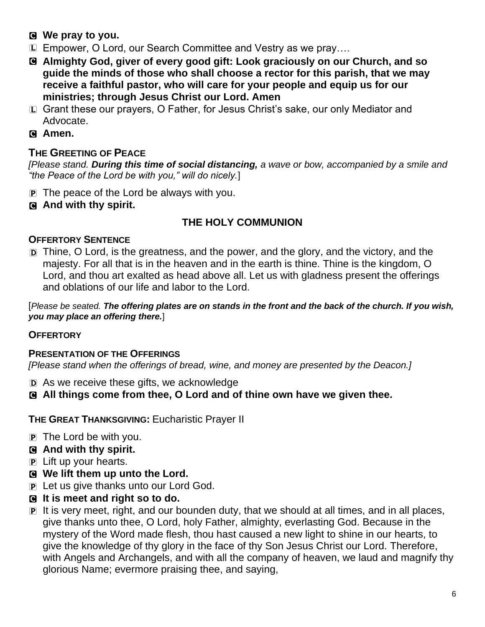- C **We pray to you.**
- L Empower, O Lord, our Search Committee and Vestry as we pray….
- C **Almighty God, giver of every good gift: Look graciously on our Church, and so guide the minds of those who shall choose a rector for this parish, that we may receive a faithful pastor, who will care for your people and equip us for our ministries; through Jesus Christ our Lord. Amen**
- L Grant these our prayers, O Father, for Jesus Christ's sake, our only Mediator and Advocate.
- C **Amen.**

# **THE GREETING OF PEACE**

*[Please stand. During this time of social distancing, a wave or bow, accompanied by a smile and "the Peace of the Lord be with you," will do nicely.*]

- P The peace of the Lord be always with you.
- C **And with thy spirit.**

# **THE HOLY COMMUNION**

#### **OFFERTORY SENTENCE**

D Thine, O Lord, is the greatness, and the power, and the glory, and the victory, and the majesty. For all that is in the heaven and in the earth is thine. Thine is the kingdom, O Lord, and thou art exalted as head above all. Let us with gladness present the offerings and oblations of our life and labor to the Lord.

[*Please be seated. The offering plates are on stands in the front and the back of the church. If you wish, you may place an offering there.*]

#### **OFFERTORY**

#### **PRESENTATION OF THE OFFERINGS**

*[Please stand when the offerings of bread, wine, and money are presented by the Deacon.]*

- D As we receive these gifts, we acknowledge
- C **All things come from thee, O Lord and of thine own have we given thee.**

**THE GREAT THANKSGIVING:** Eucharistic Prayer II

- $\overline{p}$  The Lord be with you.
- C **And with thy spirit.**
- P Lift up your hearts.
- C **We lift them up unto the Lord.**
- P Let us give thanks unto our Lord God.
- C **It is meet and right so to do.**
- P It is very meet, right, and our bounden duty, that we should at all times, and in all places, give thanks unto thee, O Lord, holy Father, almighty, everlasting God. Because in the mystery of the Word made flesh, thou hast caused a new light to shine in our hearts, to give the knowledge of thy glory in the face of thy Son Jesus Christ our Lord. Therefore, with Angels and Archangels, and with all the company of heaven, we laud and magnify thy glorious Name; evermore praising thee, and saying,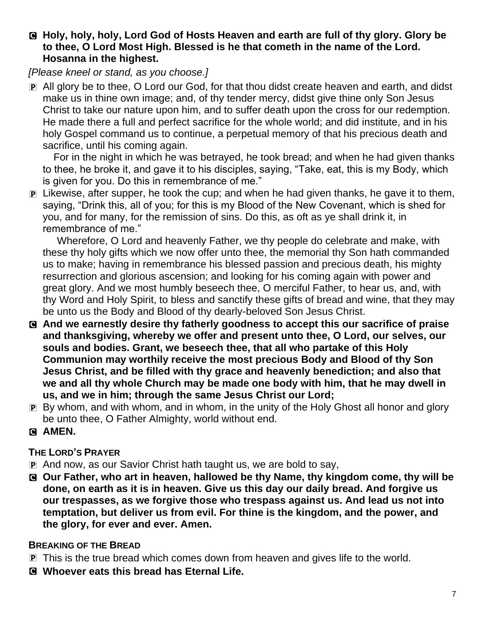C **Holy, holy, holy, Lord God of Hosts Heaven and earth are full of thy glory. Glory be to thee, O Lord Most High. Blessed is he that cometh in the name of the Lord. Hosanna in the highest.**

#### *[Please kneel or stand, as you choose.]*

P All glory be to thee, O Lord our God, for that thou didst create heaven and earth, and didst make us in thine own image; and, of thy tender mercy, didst give thine only Son Jesus Christ to take our nature upon him, and to suffer death upon the cross for our redemption. He made there a full and perfect sacrifice for the whole world; and did institute, and in his holy Gospel command us to continue, a perpetual memory of that his precious death and sacrifice, until his coming again.

For in the night in which he was betrayed, he took bread; and when he had given thanks to thee, he broke it, and gave it to his disciples, saying, "Take, eat, this is my Body, which is given for you. Do this in remembrance of me."

P Likewise, after supper, he took the cup; and when he had given thanks, he gave it to them, saying, "Drink this, all of you; for this is my Blood of the New Covenant, which is shed for you, and for many, for the remission of sins. Do this, as oft as ye shall drink it, in remembrance of me."

Wherefore, O Lord and heavenly Father, we thy people do celebrate and make, with these thy holy gifts which we now offer unto thee, the memorial thy Son hath commanded us to make; having in remembrance his blessed passion and precious death, his mighty resurrection and glorious ascension; and looking for his coming again with power and great glory. And we most humbly beseech thee, O merciful Father, to hear us, and, with thy Word and Holy Spirit, to bless and sanctify these gifts of bread and wine, that they may be unto us the Body and Blood of thy dearly-beloved Son Jesus Christ.

- C **And we earnestly desire thy fatherly goodness to accept this our sacrifice of praise and thanksgiving, whereby we offer and present unto thee, O Lord, our selves, our souls and bodies. Grant, we beseech thee, that all who partake of this Holy Communion may worthily receive the most precious Body and Blood of thy Son Jesus Christ, and be filled with thy grace and heavenly benediction; and also that we and all thy whole Church may be made one body with him, that he may dwell in us, and we in him; through the same Jesus Christ our Lord;**
- P By whom, and with whom, and in whom, in the unity of the Holy Ghost all honor and glory be unto thee, O Father Almighty, world without end.
- C **AMEN.**

#### **THE LORD'S PRAYER**

- P And now, as our Savior Christ hath taught us, we are bold to say,
- C **Our Father, who art in heaven, hallowed be thy Name, thy kingdom come, thy will be done, on earth as it is in heaven. Give us this day our daily bread. And forgive us our trespasses, as we forgive those who trespass against us. And lead us not into temptation, but deliver us from evil. For thine is the kingdom, and the power, and the glory, for ever and ever. Amen.**

#### **BREAKING OF THE BREAD**

- P This is the true bread which comes down from heaven and gives life to the world.
- C **Whoever eats this bread has Eternal Life.**